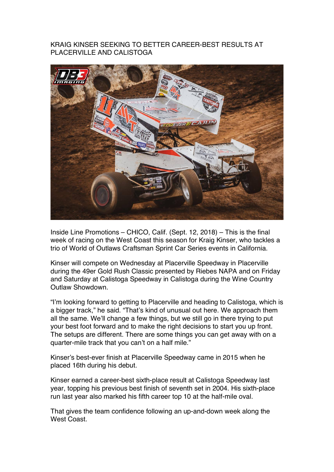## KRAIG KINSER SEEKING TO BETTER CAREER-BEST RESULTS AT PLACERVILLE AND CALISTOGA



Inside Line Promotions – CHICO, Calif. (Sept. 12, 2018) – This is the final week of racing on the West Coast this season for Kraig Kinser, who tackles a trio of World of Outlaws Craftsman Sprint Car Series events in California.

Kinser will compete on Wednesday at Placerville Speedway in Placerville during the 49er Gold Rush Classic presented by Riebes NAPA and on Friday and Saturday at Calistoga Speedway in Calistoga during the Wine Country Outlaw Showdown.

"I'm looking forward to getting to Placerville and heading to Calistoga, which is a bigger track," he said. "That's kind of unusual out here. We approach them all the same. We'll change a few things, but we still go in there trying to put your best foot forward and to make the right decisions to start you up front. The setups are different. There are some things you can get away with on a quarter-mile track that you can't on a half mile."

Kinser's best-ever finish at Placerville Speedway came in 2015 when he placed 16th during his debut.

Kinser earned a career-best sixth-place result at Calistoga Speedway last year, topping his previous best finish of seventh set in 2004. His sixth-place run last year also marked his fifth career top 10 at the half-mile oval.

That gives the team confidence following an up-and-down week along the West Coast.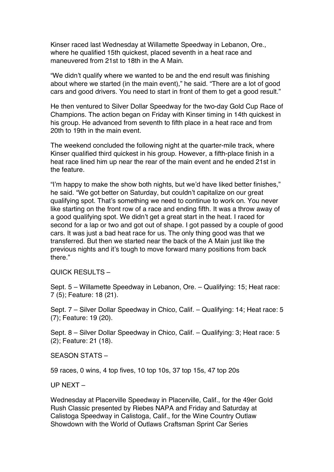Kinser raced last Wednesday at Willamette Speedway in Lebanon, Ore., where he qualified 15th quickest, placed seventh in a heat race and maneuvered from 21st to 18th in the A Main.

"We didn't qualify where we wanted to be and the end result was finishing about where we started (in the main event)," he said. "There are a lot of good cars and good drivers. You need to start in front of them to get a good result."

He then ventured to Silver Dollar Speedway for the two-day Gold Cup Race of Champions. The action began on Friday with Kinser timing in 14th quickest in his group. He advanced from seventh to fifth place in a heat race and from 20th to 19th in the main event.

The weekend concluded the following night at the quarter-mile track, where Kinser qualified third quickest in his group. However, a fifth-place finish in a heat race lined him up near the rear of the main event and he ended 21st in the feature.

"I'm happy to make the show both nights, but we'd have liked better finishes," he said. "We got better on Saturday, but couldn't capitalize on our great qualifying spot. That's something we need to continue to work on. You never like starting on the front row of a race and ending fifth. It was a throw away of a good qualifying spot. We didn't get a great start in the heat. I raced for second for a lap or two and got out of shape. I got passed by a couple of good cars. It was just a bad heat race for us. The only thing good was that we transferred. But then we started near the back of the A Main just like the previous nights and it's tough to move forward many positions from back there."

QUICK RESULTS –

Sept. 5 – Willamette Speedway in Lebanon, Ore. – Qualifying: 15; Heat race: 7 (5); Feature: 18 (21).

Sept. 7 – Silver Dollar Speedway in Chico, Calif. – Qualifying: 14; Heat race: 5 (7); Feature: 19 (20).

Sept. 8 – Silver Dollar Speedway in Chico, Calif. – Qualifying: 3; Heat race: 5 (2); Feature: 21 (18).

SEASON STATS –

59 races, 0 wins, 4 top fives, 10 top 10s, 37 top 15s, 47 top 20s

UP NEXT –

Wednesday at Placerville Speedway in Placerville, Calif., for the 49er Gold Rush Classic presented by Riebes NAPA and Friday and Saturday at Calistoga Speedway in Calistoga, Calif., for the Wine Country Outlaw Showdown with the World of Outlaws Craftsman Sprint Car Series